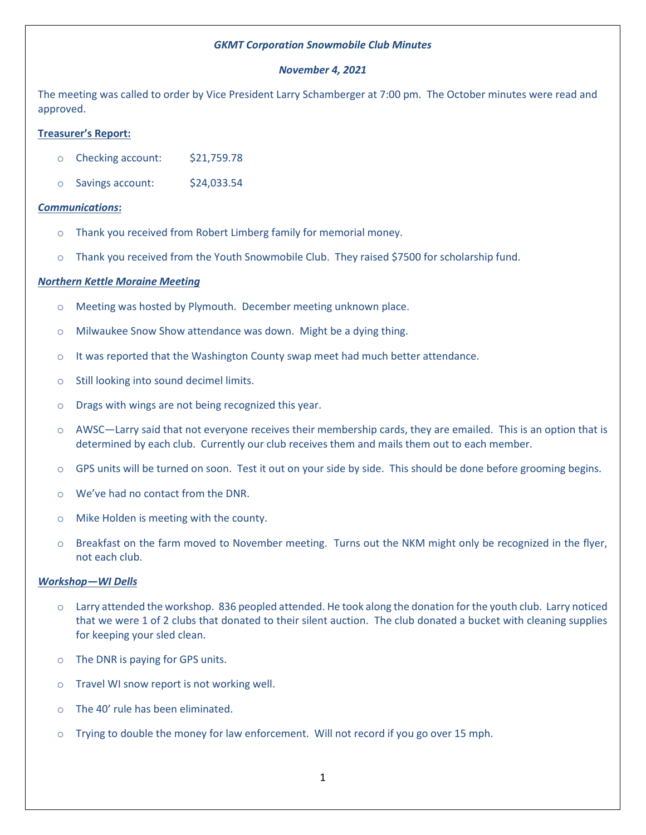# *GKMT Corporation Snowmobile Club Minutes*

### *November 4, 2021*

The meeting was called to order by Vice President Larry Schamberger at 7:00 pm. The October minutes were read and approved.

# **Treasurer's Report:**

- o Checking account: \$21,759.78
- $\circ$  Savings account:  $\frac{1}{2}$  \$24,033.54

### *Communications***:**

- o Thank you received from Robert Limberg family for memorial money.
- o Thank you received from the Youth Snowmobile Club. They raised \$7500 for scholarship fund.

# *Northern Kettle Moraine Meeting*

- o Meeting was hosted by Plymouth. December meeting unknown place.
- o Milwaukee Snow Show attendance was down. Might be a dying thing.
- $\circ$  It was reported that the Washington County swap meet had much better attendance.
- o Still looking into sound decimel limits.
- o Drags with wings are not being recognized this year.
- o AWSC—Larry said that not everyone receives their membership cards, they are emailed. This is an option that is determined by each club. Currently our club receives them and mails them out to each member.
- o GPS units will be turned on soon. Test it out on your side by side. This should be done before grooming begins.
- o We've had no contact from the DNR.
- o Mike Holden is meeting with the county.
- o Breakfast on the farm moved to November meeting. Turns out the NKM might only be recognized in the flyer, not each club.

#### *Workshop—WI Dells*

- $\circ$  Larry attended the workshop. 836 peopled attended. He took along the donation for the youth club. Larry noticed that we were 1 of 2 clubs that donated to their silent auction. The club donated a bucket with cleaning supplies for keeping your sled clean.
- o The DNR is paying for GPS units.
- o Travel WI snow report is not working well.
- o The 40' rule has been eliminated.
- o Trying to double the money for law enforcement. Will not record if you go over 15 mph.